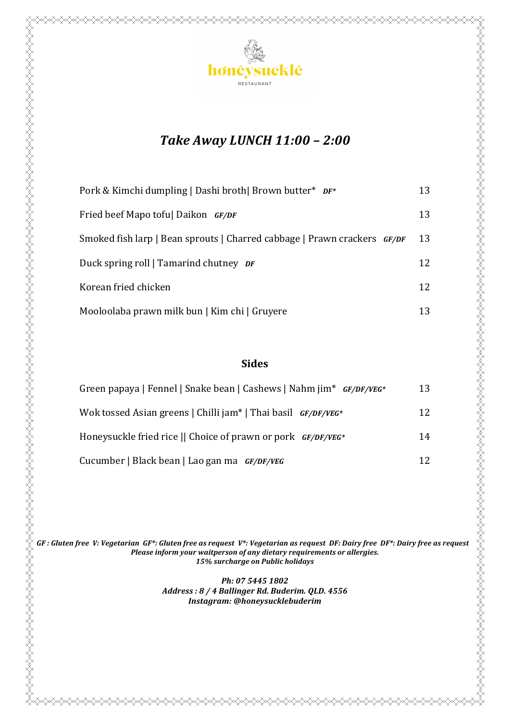

# *Take Away LUNCH 11:00 – 2:00*

| Pork & Kimchi dumpling   Dashi broth   Brown butter* DF*                 | 13 |
|--------------------------------------------------------------------------|----|
| Fried beef Mapo toful Daikon GF/DF                                       | 13 |
| Smoked fish larp   Bean sprouts   Charred cabbage   Prawn crackers GF/DF | 13 |
| Duck spring roll   Tamarind chutney <i>DF</i>                            | 12 |
| Korean fried chicken                                                     | 12 |
| Mooloolaba prawn milk bun   Kim chi   Gruyere                            | 13 |

### **Sides**

| Green papaya   Fennel   Snake bean   Cashews   Nahm jim* <i>GF/DF/VEG</i> * | 13 |
|-----------------------------------------------------------------------------|----|
| Wok tossed Asian greens   Chilli jam*   Thai basil GF/DF/VEG*               | 12 |
| Honeysuckle fried rice    Choice of prawn or pork $GF/DF/VEG^*$             | 14 |
| Cucumber   Black bean   Lao gan ma <i>GF/DF/VEG</i>                         | 12 |

*GF* : Gluten free V: Vegetarian GF\*: Gluten free as request V\*: Vegetarian as request DF: Dairy free DF\*: Dairy free as request *Please inform your waitperson of any dietary requirements or allergies. 15% surcharge on Public holidays*

> *Ph: 07 5445 1802* Address: 8 / 4 Ballinger Rd. Buderim. QLD. 4556 *Instagram: @honeysucklebuderim*